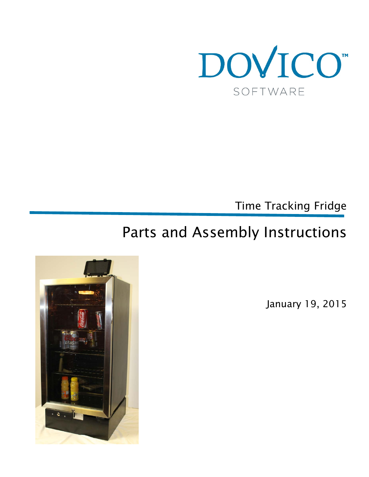

Time Tracking Fridge

# Parts and Assembly Instructions



January 19, 2015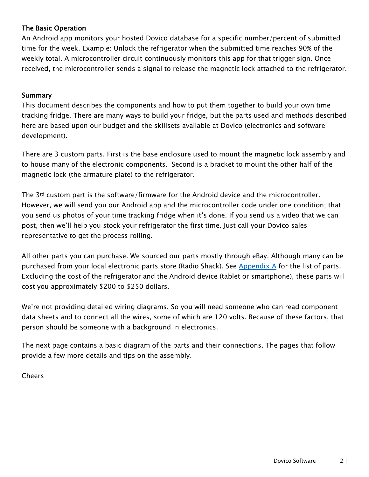# The Basic Operation

An Android app monitors your hosted Dovico database for a specific number/percent of submitted time for the week. Example: Unlock the refrigerator when the submitted time reaches 90% of the weekly total. A microcontroller circuit continuously monitors this app for that trigger sign. Once received, the microcontroller sends a signal to release the magnetic lock attached to the refrigerator.

# Summary

This document describes the components and how to put them together to build your own time tracking fridge. There are many ways to build your fridge, but the parts used and methods described here are based upon our budget and the skillsets available at Dovico (electronics and software development).

There are 3 custom parts. First is the base enclosure used to mount the magnetic lock assembly and to house many of the electronic components. Second is a bracket to mount the other half of the magnetic lock (the armature plate) to the refrigerator.

The 3rd custom part is the software/firmware for the Android device and the microcontroller. However, we will send you our Android app and the microcontroller code under one condition; that you send us photos of your time tracking fridge when it's done. If you send us a video that we can post, then we'll help you stock your refrigerator the first time. Just call your Dovico sales representative to get the process rolling.

All other parts you can purchase. We sourced our parts mostly through eBay. Although many can be purchased from your local electronic parts store (Radio Shack). See [Appendix A](#page-10-0) for the list of parts. Excluding the cost of the refrigerator and the Android device (tablet or smartphone), these parts will cost you approximately \$200 to \$250 dollars.

We're not providing detailed wiring diagrams. So you will need someone who can read component data sheets and to connect all the wires, some of which are 120 volts. Because of these factors, that person should be someone with a background in electronics.

The next page contains a basic diagram of the parts and their connections. The pages that follow provide a few more details and tips on the assembly.

Cheers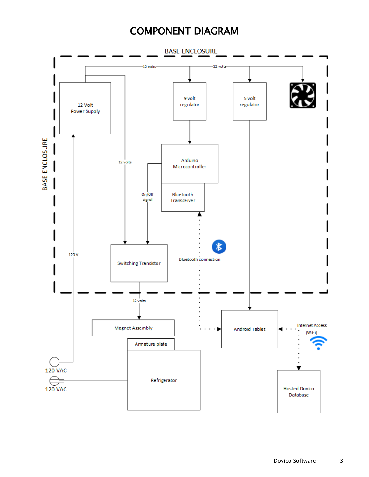# COMPONENT DIAGRAM

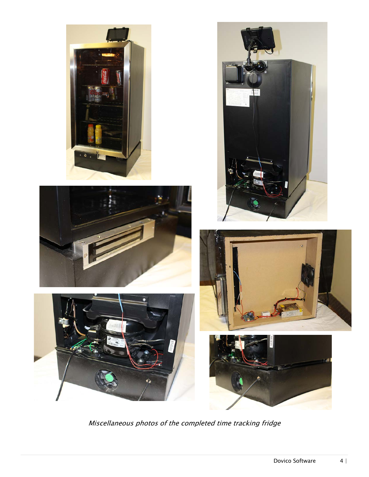











Miscellaneous photos of the completed time tracking fridge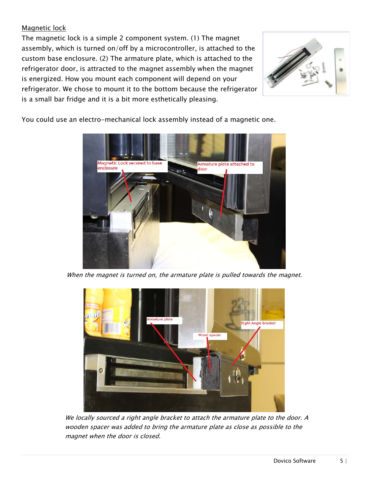# Magnetic lock

The magnetic lock is a simple 2 component system. (1) The magnet assembly, which is turned on/off by a microcontroller, is attached to the custom base enclosure. (2) The armature plate, which is attached to the refrigerator door, is attracted to the magnet assembly when the magnet is energized. How you mount each component will depend on your refrigerator. We chose to mount it to the bottom because the refrigerator is a small bar fridge and it is a bit more esthetically pleasing.



You could use an electro-mechanical lock assembly instead of a magnetic one.



When the magnet is turned on, the armature plate is pulled towards the magnet.



We locally sourced a right angle bracket to attach the armature plate to the door. A wooden spacer was added to bring the armature plate as close as possible to the magnet when the door is closed.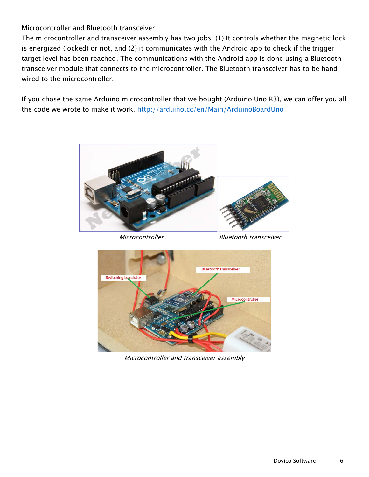# Microcontroller and Bluetooth transceiver

The microcontroller and transceiver assembly has two jobs: (1) It controls whether the magnetic lock is energized (locked) or not, and (2) it communicates with the Android app to check if the trigger target level has been reached. The communications with the Android app is done using a Bluetooth transceiver module that connects to the microcontroller. The Bluetooth transceiver has to be hand wired to the microcontroller.

If you chose the same Arduino microcontroller that we bought (Arduino Uno R3), we can offer you all the code we wrote to make it work. <http://arduino.cc/en/Main/ArduinoBoardUno>



Microcontroller Bluetooth transceiver



Microcontroller and transceiver assembly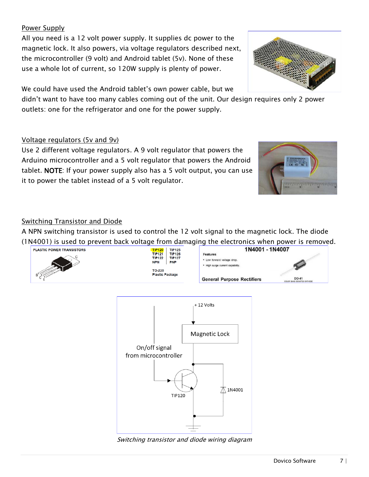# Power Supply

All you need is a 12 volt power supply. It supplies dc power to the magnetic lock. It also powers, via voltage regulators described next, the microcontroller (9 volt) and Android tablet (5v). None of these use a whole lot of current, so 120W supply is plenty of power.

We could have used the Android tablet's own power cable, but we

didn't want to have too many cables coming out of the unit. Our design requires only 2 power outlets: one for the refrigerator and one for the power supply.

## Voltage regulators (5v and 9v)

Use 2 different voltage regulators. A 9 volt regulator that powers the Arduino microcontroller and a 5 volt regulator that powers the Android tablet. NOTE: If your power supply also has a 5 volt output, you can use it to power the tablet instead of a 5 volt regulator.



## **Switching Transistor and Diode**

A NPN switching transistor is used to control the 12 volt signal to the magnetic lock. The diode (1N4001) is used to prevent back voltage from damaging the electronics when power is removed.





Switching transistor and diode wiring diagram



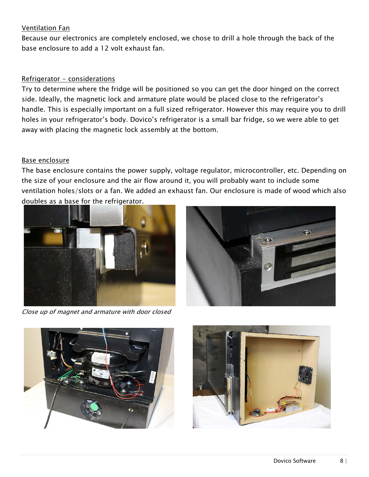#### Ventilation Fan

Because our electronics are completely enclosed, we chose to drill a hole through the back of the base enclosure to add a 12 volt exhaust fan.

# Refrigerator - considerations

Try to determine where the fridge will be positioned so you can get the door hinged on the correct side. Ideally, the magnetic lock and armature plate would be placed close to the refrigerator's handle. This is especially important on a full sized refrigerator. However this may require you to drill holes in your refrigerator's body. Dovico's refrigerator is a small bar fridge, so we were able to get away with placing the magnetic lock assembly at the bottom.

# Base enclosure

The base enclosure contains the power supply, voltage regulator, microcontroller, etc. Depending on the size of your enclosure and the air flow around it, you will probably want to include some ventilation holes/slots or a fan. We added an exhaust fan. Our enclosure is made of wood which also doubles as a base for the refrigerator.





Close up of magnet and armature with door closed



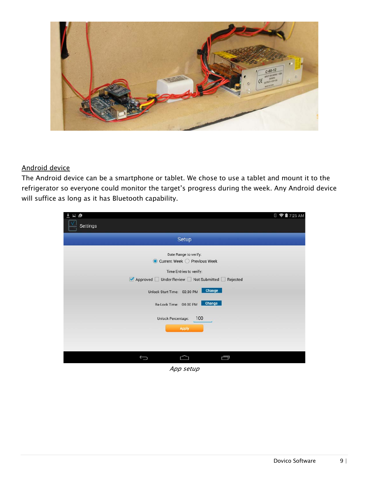

# Android device

The Android device can be a smartphone or tablet. We chose to use a tablet and mount it to the refrigerator so everyone could monitor the target's progress during the week. Any Android device will suffice as long as it has Bluetooth capability.

| 国道                                           | <b>8 ◆■7:25 AM</b> |
|----------------------------------------------|--------------------|
| Settings                                     |                    |
| Setup                                        |                    |
| Date Range to verify:                        |                    |
| Current Week ○ Previous Week<br>$\odot$      |                    |
| Time Entries to verify:                      |                    |
| Approved Under Review Not Submitted Rejected |                    |
| Change<br>Unlock Start Time: 02:30 PM        |                    |
| Change<br>Re-Lock Time: 04:00 PM             |                    |
| 100<br>Unlock Percentage:                    |                    |
| Apply                                        |                    |
|                                              |                    |
|                                              |                    |
|                                              |                    |
| Ū                                            |                    |

App setup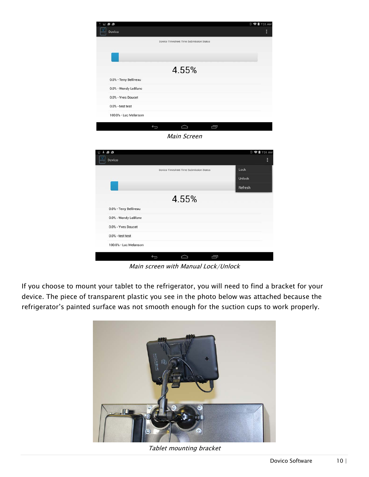| ن ف<br>Dovico          |                                         | <b>□ 令自</b> 7:25 AM<br>ŀ |
|------------------------|-----------------------------------------|--------------------------|
|                        | Dovico Timesheet Time Submission Status |                          |
|                        |                                         |                          |
|                        | 4.55%                                   |                          |
| 0.0% - Terry Belliveau |                                         |                          |
| 0.0% - Wendy LeBlanc   |                                         |                          |
| 0.0% - Yves Doucet     |                                         |                          |
| $0.0\%$ - test test    |                                         |                          |
| 100.0% - Luc Melanson  |                                         |                          |
|                        | Ù<br>$\Box$<br>$\overline{C}$           |                          |
|                        | Main Screen                             |                          |
|                        |                                         |                          |
| ن ق +                  |                                         | <b>■ マ■7:25 AM</b>       |
| Dovico                 |                                         | ł                        |
|                        | Dovico Timesheet Time Submission Status | Lock                     |
|                        |                                         | Unlock                   |
|                        |                                         |                          |
|                        |                                         | Refresh                  |
|                        | 4.55%                                   |                          |
| 0.0% - Terry Belliveau |                                         |                          |
| 0.0% - Wendy LeBlanc   |                                         |                          |
| 0.0% - Yves Doucet     |                                         |                          |

 $\supset$ Main screen with Manual Lock/Unlock

Ù

If you choose to mount your tablet to the refrigerator, you will need to find a bracket for your device. The piece of transparent plastic you see in the photo below was attached because the refrigerator's painted surface was not smooth enough for the suction cups to work properly.

 $\overline{C}$ 

100.0% - Luc Melanson



Tablet mounting bracket